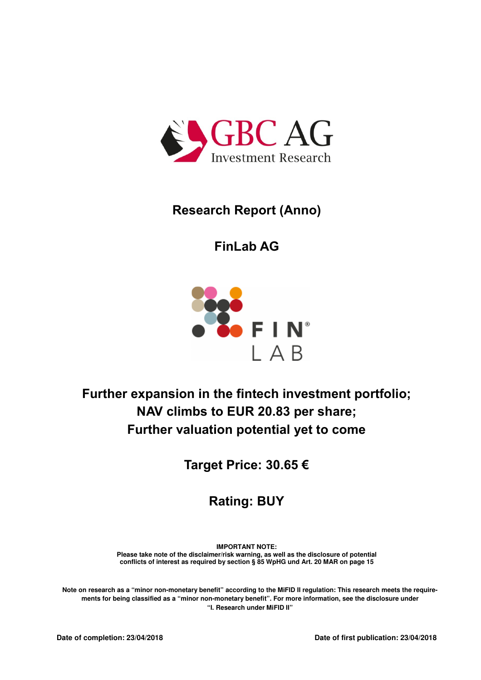

# **Research Report (Anno)**

**FinLab AG**



# **Further expansion in the fintech investment portfolio; NAV climbs to EUR 20.83 per share; Further valuation potential yet to come**

**Target Price: 30.65 €**

**Rating: BUY**

**IMPORTANT NOTE: Please take note of the disclaimer/risk warning, as well as the disclosure of potential conflicts of interest as required by section § 85 WpHG und Art. 20 MAR on page 15** 

**Note on research as a "minor non-monetary benefit" according to the MiFID II regulation: This research meets the requirements for being classified as a "minor non-monetary benefit". For more information, see the disclosure under "I. Research under MiFID II"**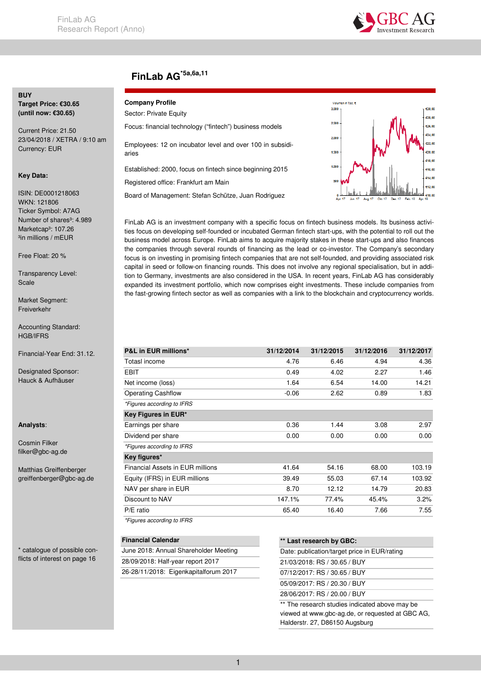

## **FinLab AG\*5a,6a,11**

### **BUY**

**Target Price: €30.65 (until now: €30.65)** 

Current Price: 21.50 23/04/2018 / XETRA / 9:10 am Currency: EUR

#### **Key Data:**

ISIN: DE0001218063 WKN: 121806 Ticker Symbol: A7AG Number of shares<sup>3</sup>: 4.989 Marketcap<sup>3</sup>: 107.26 <sup>3</sup>in millions / mEUR

Free Float: 20 %

Transparency Level: Scale

Market Segment: Freiverkehr

Accounting Standard: HGB/IFRS

Financial-Year End: 31.12.

Designated Sponsor: Hauck & Aufhäuser

#### **Analysts**:

Cosmin Filker filker@gbc-ag.de

Matthias Greiffenberger greiffenberger@gbc-ag.de

\* catalogue of possible conflicts of interest on page 16

#### **Company Profile**

| Sector: Private Equity                                             |
|--------------------------------------------------------------------|
| Focus: financial technology ("fintech") business models            |
| Employees: 12 on incubator level and over 100 in subsidi-<br>aries |
| Established: 2000, focus on fintech since beginning 2015           |
| Registered office: Frankfurt am Main                               |
| Board of Management: Stefan Schütze, Juan Rodriguez                |



FinLab AG is an investment company with a specific focus on fintech business models. Its business activities focus on developing self-founded or incubated German fintech start-ups, with the potential to roll out the business model across Europe. FinLab aims to acquire majority stakes in these start-ups and also finances the companies through several rounds of financing as the lead or co-investor. The Company's secondary focus is on investing in promising fintech companies that are not self-founded, and providing associated risk capital in seed or follow-on financing rounds. This does not involve any regional specialisation, but in addition to Germany, investments are also considered in the USA. In recent years, FinLab AG has considerably expanded its investment portfolio, which now comprises eight investments. These include companies from the fast-growing fintech sector as well as companies with a link to the blockchain and cryptocurrency worlds.

| <b>P&amp;L in EUR millions*</b>  | 31/12/2014 | 31/12/2015 | 31/12/2016 | 31/12/2017 |
|----------------------------------|------------|------------|------------|------------|
| Totasl income                    | 4.76       | 6.46       | 4.94       | 4.36       |
| EBIT                             | 0.49       | 4.02       | 2.27       | 1.46       |
| Net income (loss)                | 1.64       | 6.54       | 14.00      | 14.21      |
| <b>Operating Cashflow</b>        | $-0.06$    | 2.62       | 0.89       | 1.83       |
| *Figures according to IFRS       |            |            |            |            |
| Key Figures in EUR*              |            |            |            |            |
| Earnings per share               | 0.36       | 1.44       | 3.08       | 2.97       |
| Dividend per share               | 0.00       | 0.00       | 0.00       | 0.00       |
| *Figures according to IFRS       |            |            |            |            |
| Key figures*                     |            |            |            |            |
| Financial Assets in EUR millions | 41.64      | 54.16      | 68.00      | 103.19     |
| Equity (IFRS) in EUR millions    | 39.49      | 55.03      | 67.14      | 103.92     |
| NAV per share in EUR             | 8.70       | 12.12      | 14.79      | 20.83      |
| Discount to NAV                  | 147.1%     | 77.4%      | 45.4%      | 3.2%       |
| P/E ratio                        | 65.40      | 16.40      | 7.66       | 7.55       |
| *Figures according to IFRS       |            |            |            |            |

| June 2018: Annual Shareholder Meeting<br>28/09/2018: Half-year report 2017 | <b>Financial Calendar</b> |                                       |
|----------------------------------------------------------------------------|---------------------------|---------------------------------------|
|                                                                            |                           |                                       |
|                                                                            |                           |                                       |
|                                                                            |                           | 26-28/11/2018: Eigenkapitalforum 2017 |

| ** Last research by GBC:                       |
|------------------------------------------------|
| Date: publication/target price in EUR/rating   |
| 21/03/2018: RS / 30.65 / BUY                   |
| 07/12/2017: RS / 30.65 / BUY                   |
| 05/09/2017: RS / 20.30 / BUY                   |
| 28/06/2017: RS / 20.00 / BUY                   |
| ** The research studies indicated above may be |

\*\* The research studies indicated above may be viewed at www.gbc-ag.de, or requested at GBC AG, Halderstr. 27, D86150 Augsburg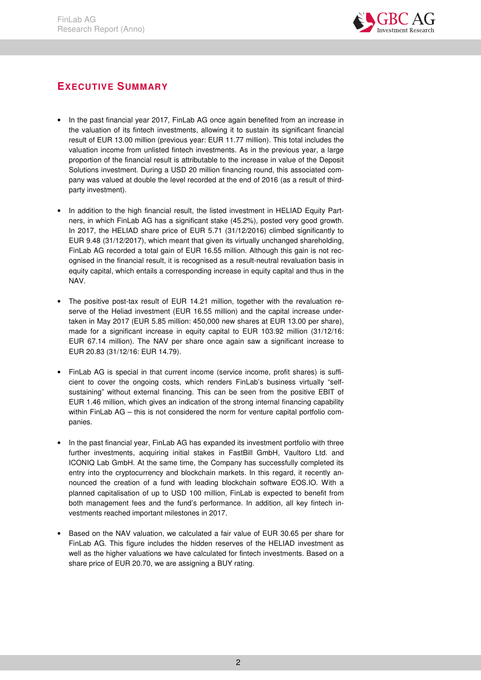

## **EXECUTIVE SUMMARY**

- In the past financial year 2017, FinLab AG once again benefited from an increase in the valuation of its fintech investments, allowing it to sustain its significant financial result of EUR 13.00 million (previous year: EUR 11.77 million). This total includes the valuation income from unlisted fintech investments. As in the previous year, a large proportion of the financial result is attributable to the increase in value of the Deposit Solutions investment. During a USD 20 million financing round, this associated company was valued at double the level recorded at the end of 2016 (as a result of thirdparty investment).
- In addition to the high financial result, the listed investment in HELIAD Equity Partners, in which FinLab AG has a significant stake (45.2%), posted very good growth. In 2017, the HELIAD share price of EUR 5.71 (31/12/2016) climbed significantly to EUR 9.48 (31/12/2017), which meant that given its virtually unchanged shareholding, FinLab AG recorded a total gain of EUR 16.55 million. Although this gain is not recognised in the financial result, it is recognised as a result-neutral revaluation basis in equity capital, which entails a corresponding increase in equity capital and thus in the NAV.
- The positive post-tax result of EUR 14.21 million, together with the revaluation reserve of the Heliad investment (EUR 16.55 million) and the capital increase undertaken in May 2017 (EUR 5.85 million: 450,000 new shares at EUR 13.00 per share), made for a significant increase in equity capital to EUR 103.92 million (31/12/16: EUR 67.14 million). The NAV per share once again saw a significant increase to EUR 20.83 (31/12/16: EUR 14.79).
- FinLab AG is special in that current income (service income, profit shares) is sufficient to cover the ongoing costs, which renders FinLab's business virtually "selfsustaining" without external financing. This can be seen from the positive EBIT of EUR 1.46 million, which gives an indication of the strong internal financing capability within FinLab AG – this is not considered the norm for venture capital portfolio companies.
- In the past financial year, FinLab AG has expanded its investment portfolio with three further investments, acquiring initial stakes in FastBill GmbH, Vaultoro Ltd. and ICONIQ Lab GmbH. At the same time, the Company has successfully completed its entry into the cryptocurrency and blockchain markets. In this regard, it recently announced the creation of a fund with leading blockchain software EOS.IO. With a planned capitalisation of up to USD 100 million, FinLab is expected to benefit from both management fees and the fund's performance. In addition, all key fintech investments reached important milestones in 2017.
- Based on the NAV valuation, we calculated a fair value of EUR 30.65 per share for FinLab AG. This figure includes the hidden reserves of the HELIAD investment as well as the higher valuations we have calculated for fintech investments. Based on a share price of EUR 20.70, we are assigning a BUY rating.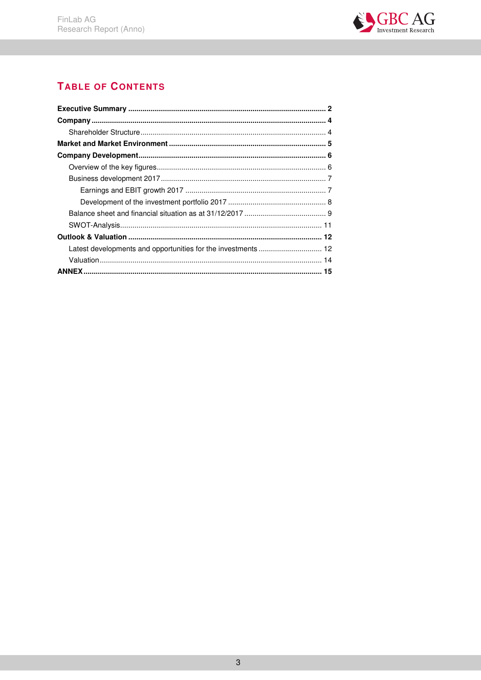

## **TABLE OF CONTENTS**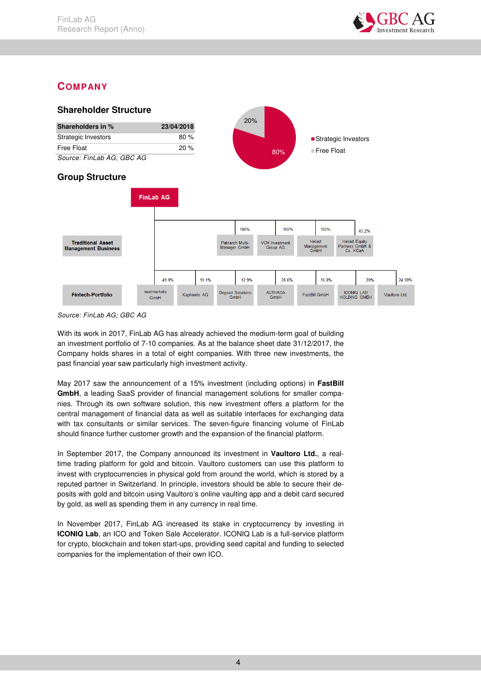

## **COMPANY**



*Source: FinLab AG; GBC AG* 

With its work in 2017, FinLab AG has already achieved the medium-term goal of building an investment portfolio of 7-10 companies. As at the balance sheet date 31/12/2017, the Company holds shares in a total of eight companies. With three new investments, the past financial year saw particularly high investment activity.

May 2017 saw the announcement of a 15% investment (including options) in **FastBill GmbH**, a leading SaaS provider of financial management solutions for smaller companies. Through its own software solution, this new investment offers a platform for the central management of financial data as well as suitable interfaces for exchanging data with tax consultants or similar services. The seven-figure financing volume of FinLab should finance further customer growth and the expansion of the financial platform.

In September 2017, the Company announced its investment in **Vaultoro Ltd.**, a realtime trading platform for gold and bitcoin. Vaultoro customers can use this platform to invest with cryptocurrencies in physical gold from around the world, which is stored by a reputed partner in Switzerland. In principle, investors should be able to secure their deposits with gold and bitcoin using Vaultoro's online vaulting app and a debit card secured by gold, as well as spending them in any currency in real time.

In November 2017, FinLab AG increased its stake in cryptocurrency by investing in **ICONIQ Lab**, an ICO and Token Sale Accelerator. ICONIQ Lab is a full-service platform for crypto, blockchain and token start-ups, providing seed capital and funding to selected companies for the implementation of their own ICO.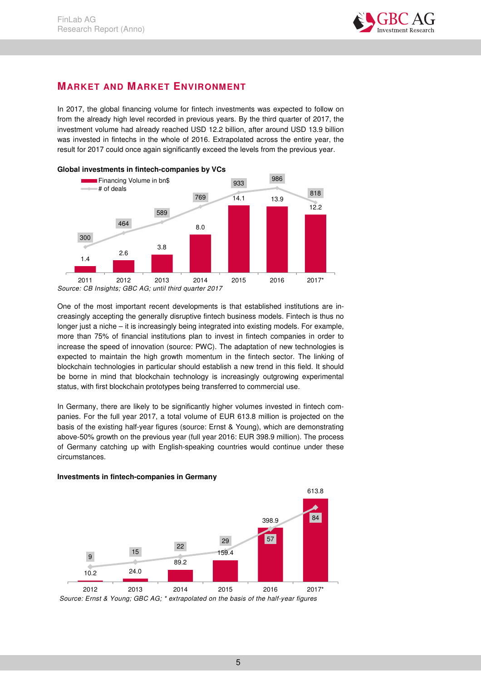

### **MARKET AND MARKET ENVIRONMENT**

In 2017, the global financing volume for fintech investments was expected to follow on from the already high level recorded in previous years. By the third quarter of 2017, the investment volume had already reached USD 12.2 billion, after around USD 13.9 billion was invested in fintechs in the whole of 2016. Extrapolated across the entire year, the result for 2017 could once again significantly exceed the levels from the previous year.



*Source: CB Insights; GBC AG; until third quarter 2017* 

One of the most important recent developments is that established institutions are increasingly accepting the generally disruptive fintech business models. Fintech is thus no longer just a niche – it is increasingly being integrated into existing models. For example, more than 75% of financial institutions plan to invest in fintech companies in order to increase the speed of innovation (source: PWC). The adaptation of new technologies is expected to maintain the high growth momentum in the fintech sector. The linking of blockchain technologies in particular should establish a new trend in this field. It should be borne in mind that blockchain technology is increasingly outgrowing experimental status, with first blockchain prototypes being transferred to commercial use.

In Germany, there are likely to be significantly higher volumes invested in fintech companies. For the full year 2017, a total volume of EUR 613.8 million is projected on the basis of the existing half-year figures (source: Ernst & Young), which are demonstrating above-50% growth on the previous year (full year 2016: EUR 398.9 million). The process of Germany catching up with English-speaking countries would continue under these circumstances.



#### **Investments in fintech-companies in Germany**

 *Source: Ernst & Young; GBC AG; \* extrapolated on the basis of the half-year figures*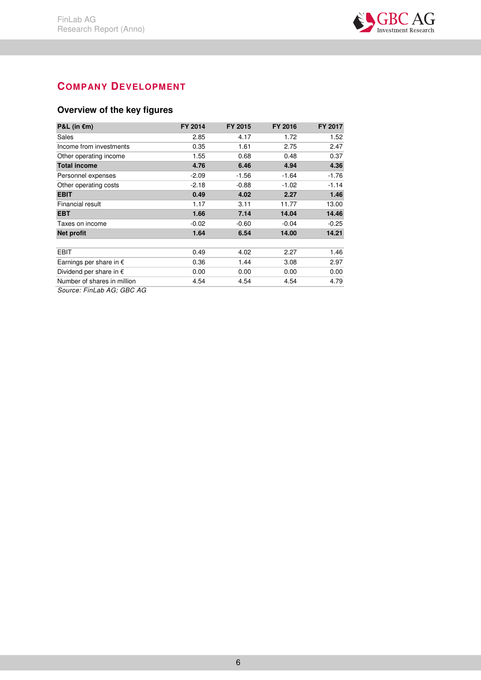

## **COMPANY DEVELOPMENT**

## **Overview of the key figures**

| P&L (in $\epsilon$ m)                                                                                                                                                                                                                                                                                                                    | FY 2014 | FY 2015 | FY 2016 | FY 2017 |
|------------------------------------------------------------------------------------------------------------------------------------------------------------------------------------------------------------------------------------------------------------------------------------------------------------------------------------------|---------|---------|---------|---------|
| Sales                                                                                                                                                                                                                                                                                                                                    | 2.85    | 4.17    | 1.72    | 1.52    |
| Income from investments                                                                                                                                                                                                                                                                                                                  | 0.35    | 1.61    | 2.75    | 2.47    |
| Other operating income                                                                                                                                                                                                                                                                                                                   | 1.55    | 0.68    | 0.48    | 0.37    |
| <b>Total income</b>                                                                                                                                                                                                                                                                                                                      | 4.76    | 6.46    | 4.94    | 4.36    |
| Personnel expenses                                                                                                                                                                                                                                                                                                                       | $-2.09$ | $-1.56$ | $-1.64$ | $-1.76$ |
| Other operating costs                                                                                                                                                                                                                                                                                                                    | $-2.18$ | $-0.88$ | $-1.02$ | $-1.14$ |
| <b>EBIT</b>                                                                                                                                                                                                                                                                                                                              | 0.49    | 4.02    | 2.27    | 1.46    |
| Financial result                                                                                                                                                                                                                                                                                                                         | 1.17    | 3.11    | 11.77   | 13.00   |
| <b>EBT</b>                                                                                                                                                                                                                                                                                                                               | 1.66    | 7.14    | 14.04   | 14.46   |
| Taxes on income                                                                                                                                                                                                                                                                                                                          | $-0.02$ | $-0.60$ | $-0.04$ | $-0.25$ |
| <b>Net profit</b>                                                                                                                                                                                                                                                                                                                        | 1.64    | 6.54    | 14.00   | 14.21   |
|                                                                                                                                                                                                                                                                                                                                          |         |         |         |         |
| <b>EBIT</b>                                                                                                                                                                                                                                                                                                                              | 0.49    | 4.02    | 2.27    | 1.46    |
| Earnings per share in $\epsilon$                                                                                                                                                                                                                                                                                                         | 0.36    | 1.44    | 3.08    | 2.97    |
| Dividend per share in $\epsilon$                                                                                                                                                                                                                                                                                                         | 0.00    | 0.00    | 0.00    | 0.00    |
| Number of shares in million                                                                                                                                                                                                                                                                                                              | 4.54    | 4.54    | 4.54    | 4.79    |
| $C_2$ $\cdots$ $\cdots$ $C_{n}$ $\vdots$ $\vdots$ $\vdots$ $\vdots$ $\vdots$ $\vdots$ $\vdots$ $\vdots$ $\vdots$ $\vdots$ $\vdots$ $\vdots$ $\vdots$ $\vdots$ $\vdots$ $\vdots$ $\vdots$ $\vdots$ $\vdots$ $\vdots$ $\vdots$ $\vdots$ $\vdots$ $\vdots$ $\vdots$ $\vdots$ $\vdots$ $\vdots$ $\vdots$ $\vdots$ $\vdots$ $\vdots$ $\vdots$ |         |         |         |         |

*Source: FinLab AG; GBC AG*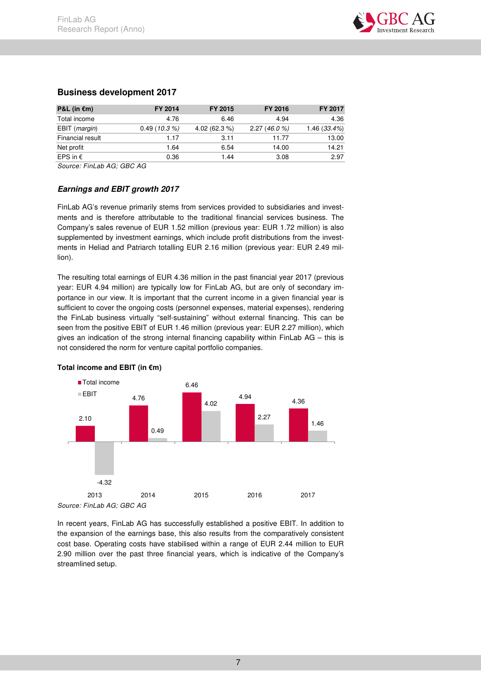

| P&L (in $€m)$          | FY 2014     | FY 2015       | FY 2016    | FY 2017      |
|------------------------|-------------|---------------|------------|--------------|
| Total income           | 4.76        | 6.46          | 4.94       | 4.36         |
| EBIT ( <i>margin</i> ) | 0.49(10.3%) | 4.02 (62.3 %) | 2.27(46.0% | 1.46 (33.4%) |
| Financial result       | 1.17        | 3.11          | 11.77      | 13.00        |
| Net profit             | 1.64        | 6.54          | 14.00      | 14.21        |
| EPS in $\epsilon$      | 0.36        | 1.44          | 3.08       | 2.97         |

#### **Business development 2017**

*Source: FinLab AG; GBC AG* 

#### **Earnings and EBIT growth 2017**

FinLab AG's revenue primarily stems from services provided to subsidiaries and investments and is therefore attributable to the traditional financial services business. The Company's sales revenue of EUR 1.52 million (previous year: EUR 1.72 million) is also supplemented by investment earnings, which include profit distributions from the investments in Heliad and Patriarch totalling EUR 2.16 million (previous year: EUR 2.49 million).

The resulting total earnings of EUR 4.36 million in the past financial year 2017 (previous year: EUR 4.94 million) are typically low for FinLab AG, but are only of secondary importance in our view. It is important that the current income in a given financial year is sufficient to cover the ongoing costs (personnel expenses, material expenses), rendering the FinLab business virtually "self-sustaining" without external financing. This can be seen from the positive EBIT of EUR 1.46 million (previous year: EUR 2.27 million), which gives an indication of the strong internal financing capability within FinLab AG – this is not considered the norm for venture capital portfolio companies.



#### **Total income and EBIT (in €m)**

In recent years, FinLab AG has successfully established a positive EBIT. In addition to the expansion of the earnings base, this also results from the comparatively consistent cost base. Operating costs have stabilised within a range of EUR 2.44 million to EUR 2.90 million over the past three financial years, which is indicative of the Company's streamlined setup.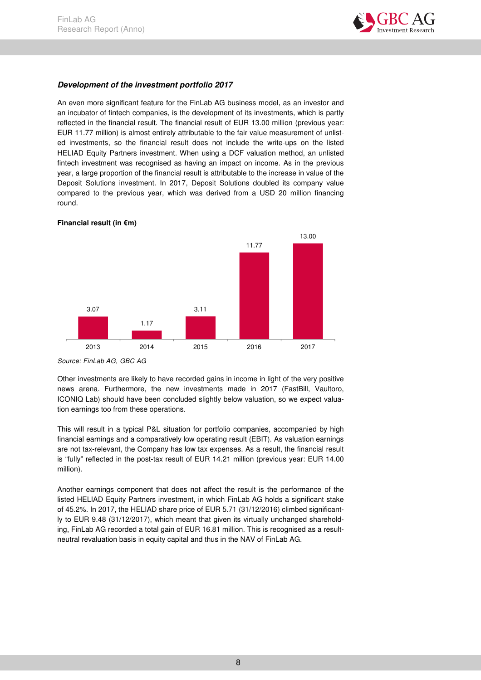

#### **Development of the investment portfolio 2017**

An even more significant feature for the FinLab AG business model, as an investor and an incubator of fintech companies, is the development of its investments, which is partly reflected in the financial result. The financial result of EUR 13.00 million (previous year: EUR 11.77 million) is almost entirely attributable to the fair value measurement of unlisted investments, so the financial result does not include the write-ups on the listed HELIAD Equity Partners investment. When using a DCF valuation method, an unlisted fintech investment was recognised as having an impact on income. As in the previous year, a large proportion of the financial result is attributable to the increase in value of the Deposit Solutions investment. In 2017, Deposit Solutions doubled its company value compared to the previous year, which was derived from a USD 20 million financing round.



#### **Financial result (in €m)**

Other investments are likely to have recorded gains in income in light of the very positive news arena. Furthermore, the new investments made in 2017 (FastBill, Vaultoro, ICONIQ Lab) should have been concluded slightly below valuation, so we expect valuation earnings too from these operations.

This will result in a typical P&L situation for portfolio companies, accompanied by high financial earnings and a comparatively low operating result (EBIT). As valuation earnings are not tax-relevant, the Company has low tax expenses. As a result, the financial result is "fully" reflected in the post-tax result of EUR 14.21 million (previous year: EUR 14.00 million).

Another earnings component that does not affect the result is the performance of the listed HELIAD Equity Partners investment, in which FinLab AG holds a significant stake of 45.2%. In 2017, the HELIAD share price of EUR 5.71 (31/12/2016) climbed significantly to EUR 9.48 (31/12/2017), which meant that given its virtually unchanged shareholding, FinLab AG recorded a total gain of EUR 16.81 million. This is recognised as a resultneutral revaluation basis in equity capital and thus in the NAV of FinLab AG.

*Source: FinLab AG, GBC AG*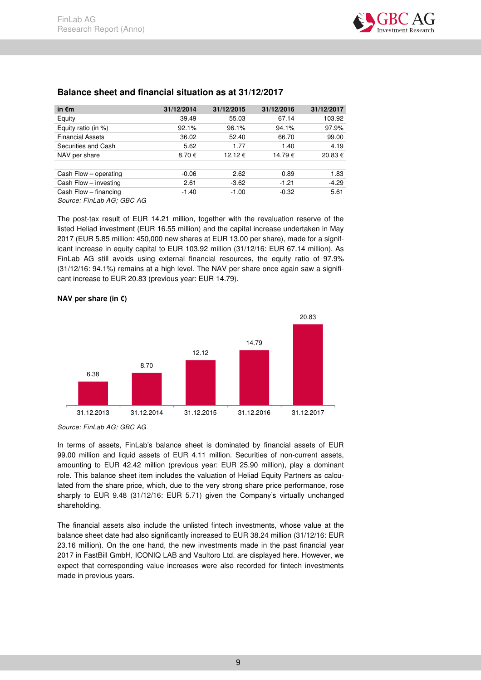| in $\epsilon$ m         | 31/12/2014 | 31/12/2015 | 31/12/2016 | 31/12/2017 |
|-------------------------|------------|------------|------------|------------|
| Equity                  | 39.49      | 55.03      | 67.14      | 103.92     |
| Equity ratio (in $%$ )  | 92.1%      | 96.1%      | 94.1%      | 97.9%      |
| <b>Financial Assets</b> | 36.02      | 52.40      | 66.70      | 99.00      |
| Securities and Cash     | 5.62       | 1.77       | 1.40       | 4.19       |
| NAV per share           | 8.70€      | 12.12 €    | 14.79€     | 20.83€     |
|                         |            |            |            |            |
| Cash Flow - operating   | $-0.06$    | 2.62       | 0.89       | 1.83       |
| Cash Flow - investing   | 2.61       | $-3.62$    | $-1.21$    | $-4.29$    |
| Cash Flow - financing   | $-1.40$    | $-1.00$    | $-0.32$    | 5.61       |
| C <sub>2</sub>          |            |            |            |            |

### **Balance sheet and financial situation as at 31/12/2017**

*Source: FinLab AG; GBC AG* 

The post-tax result of EUR 14.21 million, together with the revaluation reserve of the listed Heliad investment (EUR 16.55 million) and the capital increase undertaken in May 2017 (EUR 5.85 million: 450,000 new shares at EUR 13.00 per share), made for a significant increase in equity capital to EUR 103.92 million (31/12/16: EUR 67.14 million). As FinLab AG still avoids using external financial resources, the equity ratio of 97.9% (31/12/16: 94.1%) remains at a high level. The NAV per share once again saw a significant increase to EUR 20.83 (previous year: EUR 14.79).



#### **NAV per share (in €)**

*Source: FinLab AG; GBC AG* 

In terms of assets, FinLab's balance sheet is dominated by financial assets of EUR 99.00 million and liquid assets of EUR 4.11 million. Securities of non-current assets, amounting to EUR 42.42 million (previous year: EUR 25.90 million), play a dominant role. This balance sheet item includes the valuation of Heliad Equity Partners as calculated from the share price, which, due to the very strong share price performance, rose sharply to EUR 9.48 (31/12/16: EUR 5.71) given the Company's virtually unchanged shareholding.

The financial assets also include the unlisted fintech investments, whose value at the balance sheet date had also significantly increased to EUR 38.24 million (31/12/16: EUR 23.16 million). On the one hand, the new investments made in the past financial year 2017 in FastBill GmbH, ICONIQ LAB and Vaultoro Ltd. are displayed here. However, we expect that corresponding value increases were also recorded for fintech investments made in previous years.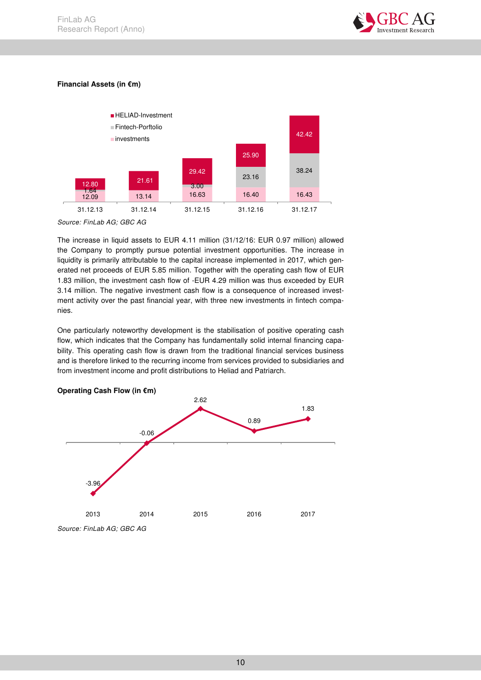

### **Financial Assets (in €m)**



*Source: FinLab AG; GBC AG* 

The increase in liquid assets to EUR 4.11 million (31/12/16: EUR 0.97 million) allowed the Company to promptly pursue potential investment opportunities. The increase in liquidity is primarily attributable to the capital increase implemented in 2017, which generated net proceeds of EUR 5.85 million. Together with the operating cash flow of EUR 1.83 million, the investment cash flow of -EUR 4.29 million was thus exceeded by EUR 3.14 million. The negative investment cash flow is a consequence of increased investment activity over the past financial year, with three new investments in fintech companies.

One particularly noteworthy development is the stabilisation of positive operating cash flow, which indicates that the Company has fundamentally solid internal financing capability. This operating cash flow is drawn from the traditional financial services business and is therefore linked to the recurring income from services provided to subsidiaries and from investment income and profit distributions to Heliad and Patriarch.



#### **Operating Cash Flow (in €m)**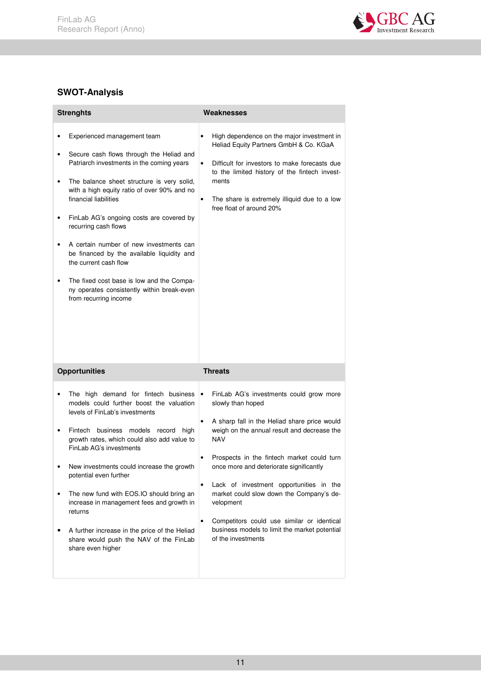

## **SWOT-Analysis**

|                       | <b>Strenghts</b>                                                                                                                                                                                                                                                                                                                                                                                                                                                                                                                                     | Weaknesses                                                                                                                                                                                                                                                                                                                                                                                                                                                                                                                              |
|-----------------------|------------------------------------------------------------------------------------------------------------------------------------------------------------------------------------------------------------------------------------------------------------------------------------------------------------------------------------------------------------------------------------------------------------------------------------------------------------------------------------------------------------------------------------------------------|-----------------------------------------------------------------------------------------------------------------------------------------------------------------------------------------------------------------------------------------------------------------------------------------------------------------------------------------------------------------------------------------------------------------------------------------------------------------------------------------------------------------------------------------|
| ٠<br>٠<br>٠<br>٠<br>٠ | Experienced management team<br>Secure cash flows through the Heliad and<br>Patriarch investments in the coming years<br>The balance sheet structure is very solid,<br>with a high equity ratio of over 90% and no<br>financial liabilities<br>FinLab AG's ongoing costs are covered by<br>recurring cash flows<br>A certain number of new investments can<br>be financed by the available liquidity and<br>the current cash flow<br>The fixed cost base is low and the Compa-<br>ny operates consistently within break-even<br>from recurring income | High dependence on the major investment in<br>$\bullet$<br>Heliad Equity Partners GmbH & Co. KGaA<br>Difficult for investors to make forecasts due<br>$\bullet$<br>to the limited history of the fintech invest-<br>ments<br>The share is extremely illiquid due to a low<br>$\bullet$<br>free float of around 20%                                                                                                                                                                                                                      |
|                       | <b>Opportunities</b>                                                                                                                                                                                                                                                                                                                                                                                                                                                                                                                                 | <b>Threats</b>                                                                                                                                                                                                                                                                                                                                                                                                                                                                                                                          |
| $\bullet$<br>٠<br>٠   | The high demand for fintech business<br>models could further boost the valuation<br>levels of FinLab's investments<br>Fintech business models record<br>high<br>growth rates, which could also add value to<br>FinLab AG's investments<br>New investments could increase the growth<br>potential even further<br>The new fund with EOS.IO should bring an<br>increase in management fees and growth in<br>returns<br>A further increase in the price of the Heliad<br>share would push the NAV of the FinLab<br>share even higher                    | FinLab AG's investments could grow more<br>$\bullet$<br>slowly than hoped<br>A sharp fall in the Heliad share price would<br>$\bullet$<br>weigh on the annual result and decrease the<br><b>NAV</b><br>Prospects in the fintech market could turn<br>٠<br>once more and deteriorate significantly<br>Lack of investment opportunities in the<br>market could slow down the Company's de-<br>velopment<br>Competitors could use similar or identical<br>$\bullet$<br>business models to limit the market potential<br>of the investments |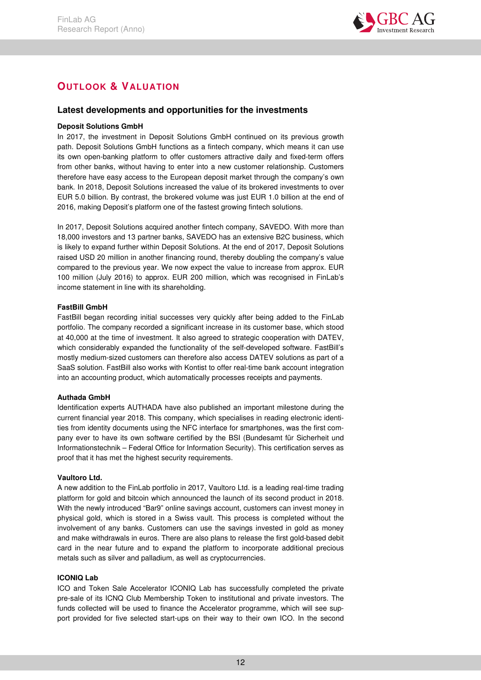

## **OUTLOOK & VALUATION**

### **Latest developments and opportunities for the investments**

#### **Deposit Solutions GmbH**

In 2017, the investment in Deposit Solutions GmbH continued on its previous growth path. Deposit Solutions GmbH functions as a fintech company, which means it can use its own open-banking platform to offer customers attractive daily and fixed-term offers from other banks, without having to enter into a new customer relationship. Customers therefore have easy access to the European deposit market through the company's own bank. In 2018, Deposit Solutions increased the value of its brokered investments to over EUR 5.0 billion. By contrast, the brokered volume was just EUR 1.0 billion at the end of 2016, making Deposit's platform one of the fastest growing fintech solutions.

In 2017, Deposit Solutions acquired another fintech company, SAVEDO. With more than 18,000 investors and 13 partner banks, SAVEDO has an extensive B2C business, which is likely to expand further within Deposit Solutions. At the end of 2017, Deposit Solutions raised USD 20 million in another financing round, thereby doubling the company's value compared to the previous year. We now expect the value to increase from approx. EUR 100 million (July 2016) to approx. EUR 200 million, which was recognised in FinLab's income statement in line with its shareholding.

#### **FastBill GmbH**

FastBill began recording initial successes very quickly after being added to the FinLab portfolio. The company recorded a significant increase in its customer base, which stood at 40,000 at the time of investment. It also agreed to strategic cooperation with DATEV, which considerably expanded the functionality of the self-developed software. FastBill's mostly medium-sized customers can therefore also access DATEV solutions as part of a SaaS solution. FastBill also works with Kontist to offer real-time bank account integration into an accounting product, which automatically processes receipts and payments.

#### **Authada GmbH**

Identification experts AUTHADA have also published an important milestone during the current financial year 2018. This company, which specialises in reading electronic identities from identity documents using the NFC interface for smartphones, was the first company ever to have its own software certified by the BSI (Bundesamt für Sicherheit und Informationstechnik – Federal Office for Information Security). This certification serves as proof that it has met the highest security requirements.

#### **Vaultoro Ltd.**

A new addition to the FinLab portfolio in 2017, Vaultoro Ltd. is a leading real-time trading platform for gold and bitcoin which announced the launch of its second product in 2018. With the newly introduced "Bar9" online savings account, customers can invest money in physical gold, which is stored in a Swiss vault. This process is completed without the involvement of any banks. Customers can use the savings invested in gold as money and make withdrawals in euros. There are also plans to release the first gold-based debit card in the near future and to expand the platform to incorporate additional precious metals such as silver and palladium, as well as cryptocurrencies.

#### **ICONIQ Lab**

ICO and Token Sale Accelerator ICONIQ Lab has successfully completed the private pre-sale of its ICNQ Club Membership Token to institutional and private investors. The funds collected will be used to finance the Accelerator programme, which will see support provided for five selected start-ups on their way to their own ICO. In the second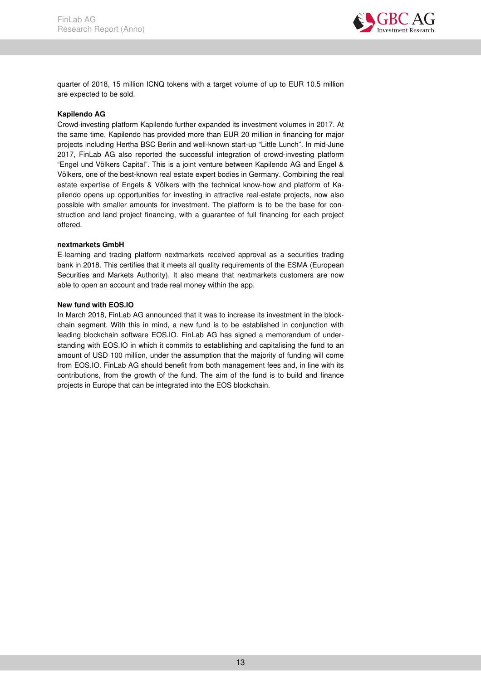

quarter of 2018, 15 million ICNQ tokens with a target volume of up to EUR 10.5 million are expected to be sold.

#### **Kapilendo AG**

Crowd-investing platform Kapilendo further expanded its investment volumes in 2017. At the same time, Kapilendo has provided more than EUR 20 million in financing for major projects including Hertha BSC Berlin and well-known start-up "Little Lunch". In mid-June 2017, FinLab AG also reported the successful integration of crowd-investing platform "Engel und Völkers Capital". This is a joint venture between Kapilendo AG and Engel & Völkers, one of the best-known real estate expert bodies in Germany. Combining the real estate expertise of Engels & Völkers with the technical know-how and platform of Kapilendo opens up opportunities for investing in attractive real-estate projects, now also possible with smaller amounts for investment. The platform is to be the base for construction and land project financing, with a guarantee of full financing for each project offered.

#### **nextmarkets GmbH**

E-learning and trading platform nextmarkets received approval as a securities trading bank in 2018. This certifies that it meets all quality requirements of the ESMA (European Securities and Markets Authority). It also means that nextmarkets customers are now able to open an account and trade real money within the app.

#### **New fund with EOS.IO**

In March 2018, FinLab AG announced that it was to increase its investment in the blockchain segment. With this in mind, a new fund is to be established in conjunction with leading blockchain software EOS.IO. FinLab AG has signed a memorandum of understanding with EOS.IO in which it commits to establishing and capitalising the fund to an amount of USD 100 million, under the assumption that the majority of funding will come from EOS.IO. FinLab AG should benefit from both management fees and, in line with its contributions, from the growth of the fund. The aim of the fund is to build and finance projects in Europe that can be integrated into the EOS blockchain.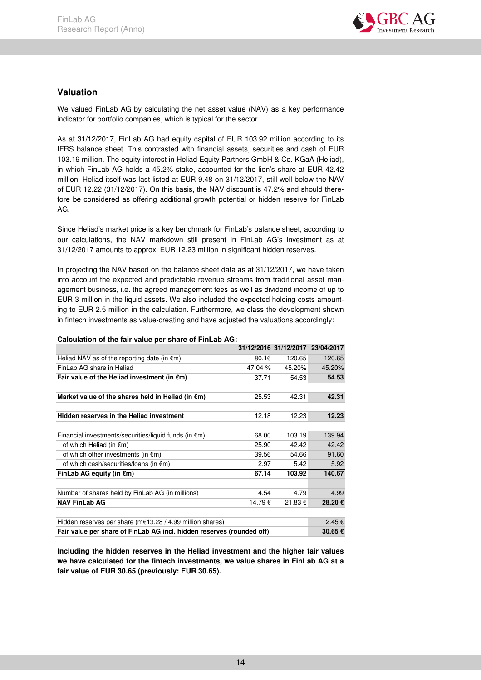

## **Valuation**

We valued FinLab AG by calculating the net asset value (NAV) as a key performance indicator for portfolio companies, which is typical for the sector.

As at 31/12/2017, FinLab AG had equity capital of EUR 103.92 million according to its IFRS balance sheet. This contrasted with financial assets, securities and cash of EUR 103.19 million. The equity interest in Heliad Equity Partners GmbH & Co. KGaA (Heliad), in which FinLab AG holds a 45.2% stake, accounted for the lion's share at EUR 42.42 million. Heliad itself was last listed at EUR 9.48 on 31/12/2017, still well below the NAV of EUR 12.22 (31/12/2017). On this basis, the NAV discount is 47.2% and should therefore be considered as offering additional growth potential or hidden reserve for FinLab AG.

Since Heliad's market price is a key benchmark for FinLab's balance sheet, according to our calculations, the NAV markdown still present in FinLab AG's investment as at 31/12/2017 amounts to approx. EUR 12.23 million in significant hidden reserves.

In projecting the NAV based on the balance sheet data as at 31/12/2017, we have taken into account the expected and predictable revenue streams from traditional asset management business, i.e. the agreed management fees as well as dividend income of up to EUR 3 million in the liquid assets. We also included the expected holding costs amounting to EUR 2.5 million in the calculation. Furthermore, we class the development shown in fintech investments as value-creating and have adjusted the valuations accordingly:

|                                                                       |         | 31/12/2016 31/12/2017 23/04/2017 |        |  |  |
|-----------------------------------------------------------------------|---------|----------------------------------|--------|--|--|
| Heliad NAV as of the reporting date (in $\epsilon$ m)                 | 80.16   | 120.65                           | 120.65 |  |  |
| FinLab AG share in Heliad                                             | 47.04 % | 45.20%                           | 45.20% |  |  |
| Fair value of the Heliad investment (in $\epsilon$ m)                 | 37.71   | 54.53                            | 54.53  |  |  |
|                                                                       |         |                                  |        |  |  |
| Market value of the shares held in Heliad (in $\epsilon$ m)           | 25.53   | 42.31                            | 42.31  |  |  |
| Hidden reserves in the Heliad investment                              | 12.18   | 12.23                            | 12.23  |  |  |
|                                                                       |         |                                  |        |  |  |
| Financial investments/securities/liquid funds (in $\epsilon$ m)       | 68.00   | 103.19                           | 139.94 |  |  |
| of which Heliad (in $\epsilon$ m)                                     | 25.90   | 42.42                            | 42.42  |  |  |
| of which other investments (in $\epsilon$ m)                          | 39.56   | 54.66                            | 91.60  |  |  |
| of which cash/securities/loans (in $\epsilon$ m)                      | 2.97    | 5.42                             | 5.92   |  |  |
| FinLab AG equity (in $\epsilon$ m)                                    | 67.14   | 103.92                           | 140.67 |  |  |
| Number of shares held by FinLab AG (in millions)                      | 4.54    | 4.79                             | 4.99   |  |  |
| <b>NAV FinLab AG</b>                                                  | 14.79€  | 21.83 €                          | 28.20€ |  |  |
|                                                                       |         |                                  |        |  |  |
| Hidden reserves per share (m€13.28 / 4.99 million shares)             |         |                                  |        |  |  |
| Fair value per share of FinLab AG incl. hidden reserves (rounded off) |         |                                  |        |  |  |

**Calculation of the fair value per share of FinLab AG:** 

**Including the hidden reserves in the Heliad investment and the higher fair values we have calculated for the fintech investments, we value shares in FinLab AG at a fair value of EUR 30.65 (previously: EUR 30.65).**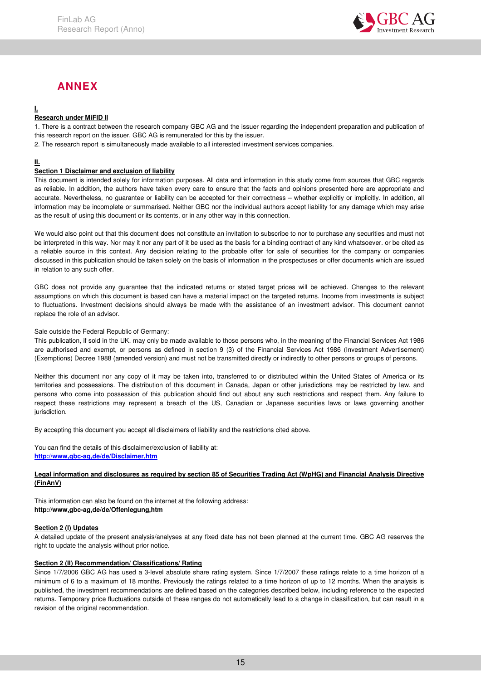

## **ANNEX**

### **I.**

#### **Research under MiFID II**

1. There is a contract between the research company GBC AG and the issuer regarding the independent preparation and publication of this research report on the issuer. GBC AG is remunerated for this by the issuer.

2. The research report is simultaneously made available to all interested investment services companies.

#### **II.**

#### **Section 1 Disclaimer and exclusion of liability**

This document is intended solely for information purposes. All data and information in this study come from sources that GBC regards as reliable. In addition, the authors have taken every care to ensure that the facts and opinions presented here are appropriate and accurate. Nevertheless, no guarantee or liability can be accepted for their correctness – whether explicitly or implicitly. In addition, all information may be incomplete or summarised. Neither GBC nor the individual authors accept liability for any damage which may arise as the result of using this document or its contents, or in any other way in this connection.

We would also point out that this document does not constitute an invitation to subscribe to nor to purchase any securities and must not be interpreted in this way. Nor may it nor any part of it be used as the basis for a binding contract of any kind whatsoever. or be cited as a reliable source in this context. Any decision relating to the probable offer for sale of securities for the company or companies discussed in this publication should be taken solely on the basis of information in the prospectuses or offer documents which are issued in relation to any such offer.

GBC does not provide any guarantee that the indicated returns or stated target prices will be achieved. Changes to the relevant assumptions on which this document is based can have a material impact on the targeted returns. Income from investments is subject to fluctuations. Investment decisions should always be made with the assistance of an investment advisor. This document cannot replace the role of an advisor.

#### Sale outside the Federal Republic of Germany:

This publication, if sold in the UK. may only be made available to those persons who, in the meaning of the Financial Services Act 1986 are authorised and exempt, or persons as defined in section 9 (3) of the Financial Services Act 1986 (Investment Advertisement) (Exemptions) Decree 1988 (amended version) and must not be transmitted directly or indirectly to other persons or groups of persons.

Neither this document nor any copy of it may be taken into, transferred to or distributed within the United States of America or its territories and possessions. The distribution of this document in Canada, Japan or other jurisdictions may be restricted by law. and persons who come into possession of this publication should find out about any such restrictions and respect them. Any failure to respect these restrictions may represent a breach of the US, Canadian or Japanese securities laws or laws governing another jurisdiction.

By accepting this document you accept all disclaimers of liability and the restrictions cited above.

You can find the details of this disclaimer/exclusion of liability at: **http://www,gbc-ag,de/de/Disclaimer,htm**

#### **Legal information and disclosures as required by section 85 of Securities Trading Act (WpHG) and Financial Analysis Directive (FinAnV)**

This information can also be found on the internet at the following address: **http://www,gbc-ag,de/de/Offenlegung,htm**

#### **Section 2 (I) Updates**

A detailed update of the present analysis/analyses at any fixed date has not been planned at the current time. GBC AG reserves the right to update the analysis without prior notice.

#### **Section 2 (II) Recommendation/ Classifications/ Rating**

Since 1/7/2006 GBC AG has used a 3-level absolute share rating system. Since 1/7/2007 these ratings relate to a time horizon of a minimum of 6 to a maximum of 18 months. Previously the ratings related to a time horizon of up to 12 months. When the analysis is published, the investment recommendations are defined based on the categories described below, including reference to the expected returns. Temporary price fluctuations outside of these ranges do not automatically lead to a change in classification, but can result in a revision of the original recommendation.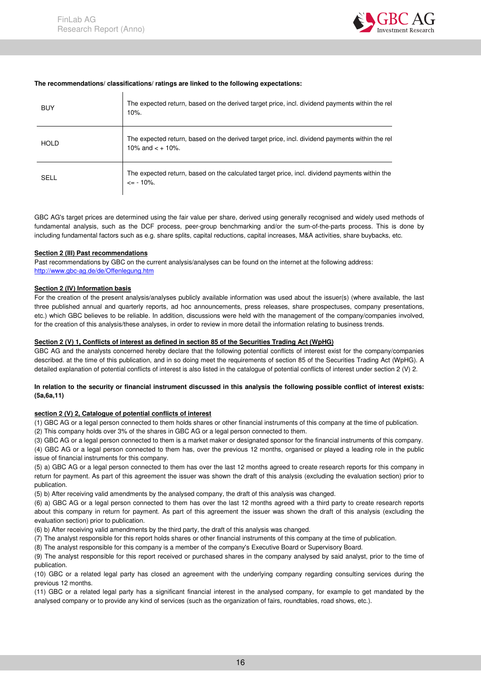

#### **The recommendations/ classifications/ ratings are linked to the following expectations:**

| <b>BUY</b>  | The expected return, based on the derived target price, incl. dividend payments within the rel<br>$10%$ .              |
|-------------|------------------------------------------------------------------------------------------------------------------------|
| <b>HOLD</b> | The expected return, based on the derived target price, incl. dividend payments within the rel<br>10% and $\lt$ + 10%. |
| <b>SELL</b> | The expected return, based on the calculated target price, incl. dividend payments within the<br>$\epsilon$ - 10%.     |

GBC AG's target prices are determined using the fair value per share, derived using generally recognised and widely used methods of fundamental analysis, such as the DCF process, peer-group benchmarking and/or the sum-of-the-parts process. This is done by including fundamental factors such as e.g. share splits, capital reductions, capital increases, M&A activities, share buybacks, etc.

#### **Section 2 (III) Past recommendations**

Past recommendations by GBC on the current analysis/analyses can be found on the internet at the following address: http://www.gbc-ag.de/de/Offenlegung.htm

#### **Section 2 (IV) Information basis**

For the creation of the present analysis/analyses publicly available information was used about the issuer(s) (where available, the last three published annual and quarterly reports, ad hoc announcements, press releases, share prospectuses, company presentations, etc.) which GBC believes to be reliable. In addition, discussions were held with the management of the company/companies involved, for the creation of this analysis/these analyses, in order to review in more detail the information relating to business trends.

#### **Section 2 (V) 1, Conflicts of interest as defined in section 85 of the Securities Trading Act (WpHG)**

GBC AG and the analysts concerned hereby declare that the following potential conflicts of interest exist for the company/companies described. at the time of this publication, and in so doing meet the requirements of section 85 of the Securities Trading Act (WpHG). A detailed explanation of potential conflicts of interest is also listed in the catalogue of potential conflicts of interest under section 2 (V) 2.

#### **In relation to the security or financial instrument discussed in this analysis the following possible conflict of interest exists: (5a,6a,11)**

#### **section 2 (V) 2, Catalogue of potential conflicts of interest**

(1) GBC AG or a legal person connected to them holds shares or other financial instruments of this company at the time of publication.

(2) This company holds over 3% of the shares in GBC AG or a legal person connected to them.

(3) GBC AG or a legal person connected to them is a market maker or designated sponsor for the financial instruments of this company.

(4) GBC AG or a legal person connected to them has, over the previous 12 months, organised or played a leading role in the public issue of financial instruments for this company.

(5) a) GBC AG or a legal person connected to them has over the last 12 months agreed to create research reports for this company in return for payment. As part of this agreement the issuer was shown the draft of this analysis (excluding the evaluation section) prior to publication.

(5) b) After receiving valid amendments by the analysed company, the draft of this analysis was changed.

(6) a) GBC AG or a legal person connected to them has over the last 12 months agreed with a third party to create research reports about this company in return for payment. As part of this agreement the issuer was shown the draft of this analysis (excluding the evaluation section) prior to publication.

(6) b) After receiving valid amendments by the third party, the draft of this analysis was changed.

(7) The analyst responsible for this report holds shares or other financial instruments of this company at the time of publication.

(8) The analyst responsible for this company is a member of the company's Executive Board or Supervisory Board.

(9) The analyst responsible for this report received or purchased shares in the company analysed by said analyst, prior to the time of publication.

(10) GBC or a related legal party has closed an agreement with the underlying company regarding consulting services during the previous 12 months.

(11) GBC or a related legal party has a significant financial interest in the analysed company, for example to get mandated by the analysed company or to provide any kind of services (such as the organization of fairs, roundtables, road shows, etc.).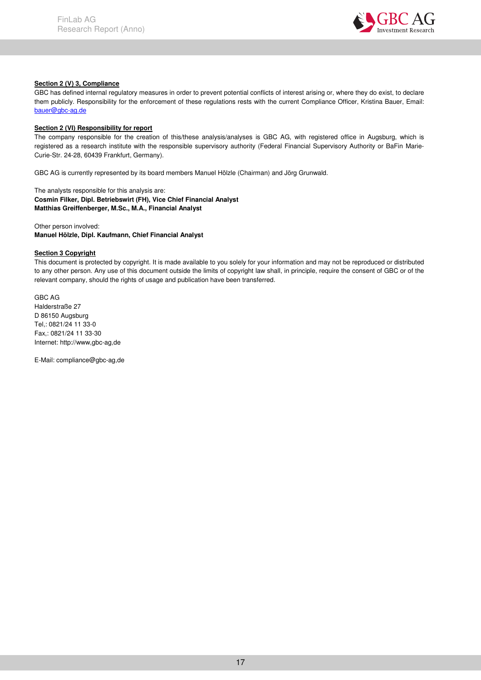

#### **Section 2 (V) 3, Compliance**

GBC has defined internal regulatory measures in order to prevent potential conflicts of interest arising or, where they do exist, to declare them publicly. Responsibility for the enforcement of these regulations rests with the current Compliance Officer, Kristina Bauer, Email: bauer@gbc-ag.de

#### **Section 2 (VI) Responsibility for report**

The company responsible for the creation of this/these analysis/analyses is GBC AG, with registered office in Augsburg, which is registered as a research institute with the responsible supervisory authority (Federal Financial Supervisory Authority or BaFin Marie-Curie-Str. 24-28, 60439 Frankfurt, Germany).

GBC AG is currently represented by its board members Manuel Hölzle (Chairman) and Jörg Grunwald.

The analysts responsible for this analysis are: **Cosmin Filker, Dipl. Betriebswirt (FH), Vice Chief Financial Analyst Matthias Greiffenberger, M.Sc., M.A., Financial Analyst** 

Other person involved:

**Manuel Hölzle, Dipl. Kaufmann, Chief Financial Analyst** 

#### **Section 3 Copyright**

This document is protected by copyright. It is made available to you solely for your information and may not be reproduced or distributed to any other person. Any use of this document outside the limits of copyright law shall, in principle, require the consent of GBC or of the relevant company, should the rights of usage and publication have been transferred.

GBC AG Halderstraße 27 D 86150 Augsburg Tel,: 0821/24 11 33-0 Fax,: 0821/24 11 33-30 Internet: http://www,gbc-ag,de

E-Mail: compliance@gbc-ag,de